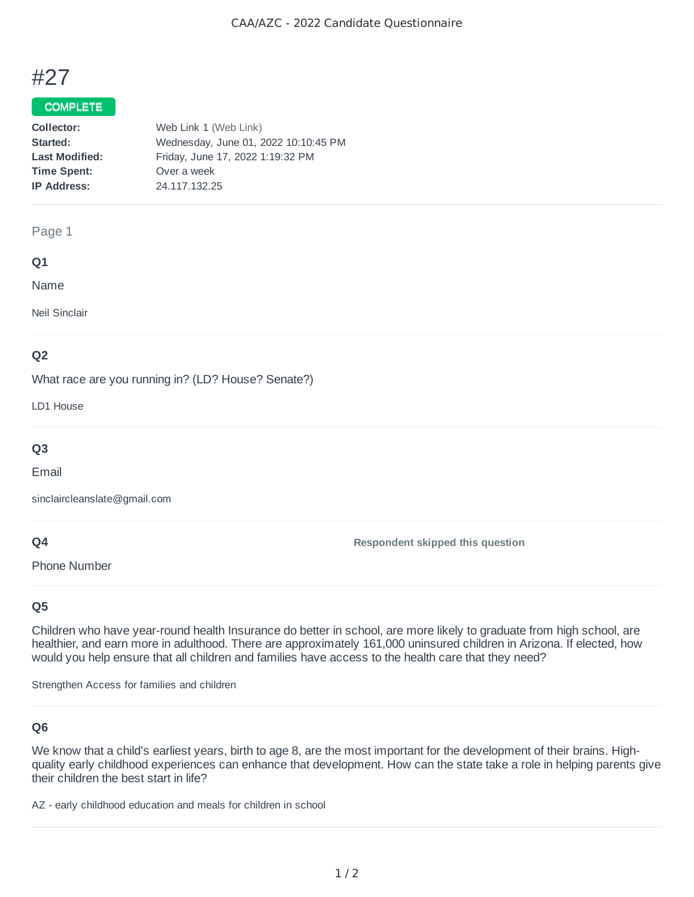

## COMPLETE

| Collector:            | Web Link 1 (Web Link)                |
|-----------------------|--------------------------------------|
| Started:              | Wednesday, June 01, 2022 10:10:45 PM |
| <b>Last Modified:</b> | Friday, June 17, 2022 1:19:32 PM     |
| <b>Time Spent:</b>    | Over a week                          |
| <b>IP Address:</b>    | 24.117.132.25                        |
|                       |                                      |

#### Page 1

#### **Q1**

Name

Neil Sinclair

# **Q2**

What race are you running in? (LD? House? Senate?)

LD1 House

# **Q3**

Email

sinclaircleanslate@gmail.com

### **Q4**

Phone Number

**Respondent skipped this question**

# **Q5**

Children who have year-round health Insurance do better in school, are more likely to graduate from high school, are healthier, and earn more in adulthood. There are approximately 161,000 uninsured children in Arizona. If elected, how would you help ensure that all children and families have access to the health care that they need?

Strengthen Access for families and children

# **Q6**

We know that a child's earliest years, birth to age 8, are the most important for the development of their brains. Highquality early childhood experiences can enhance that development. How can the state take a role in helping parents give their children the best start in life?

AZ - early childhood education and meals for children in school